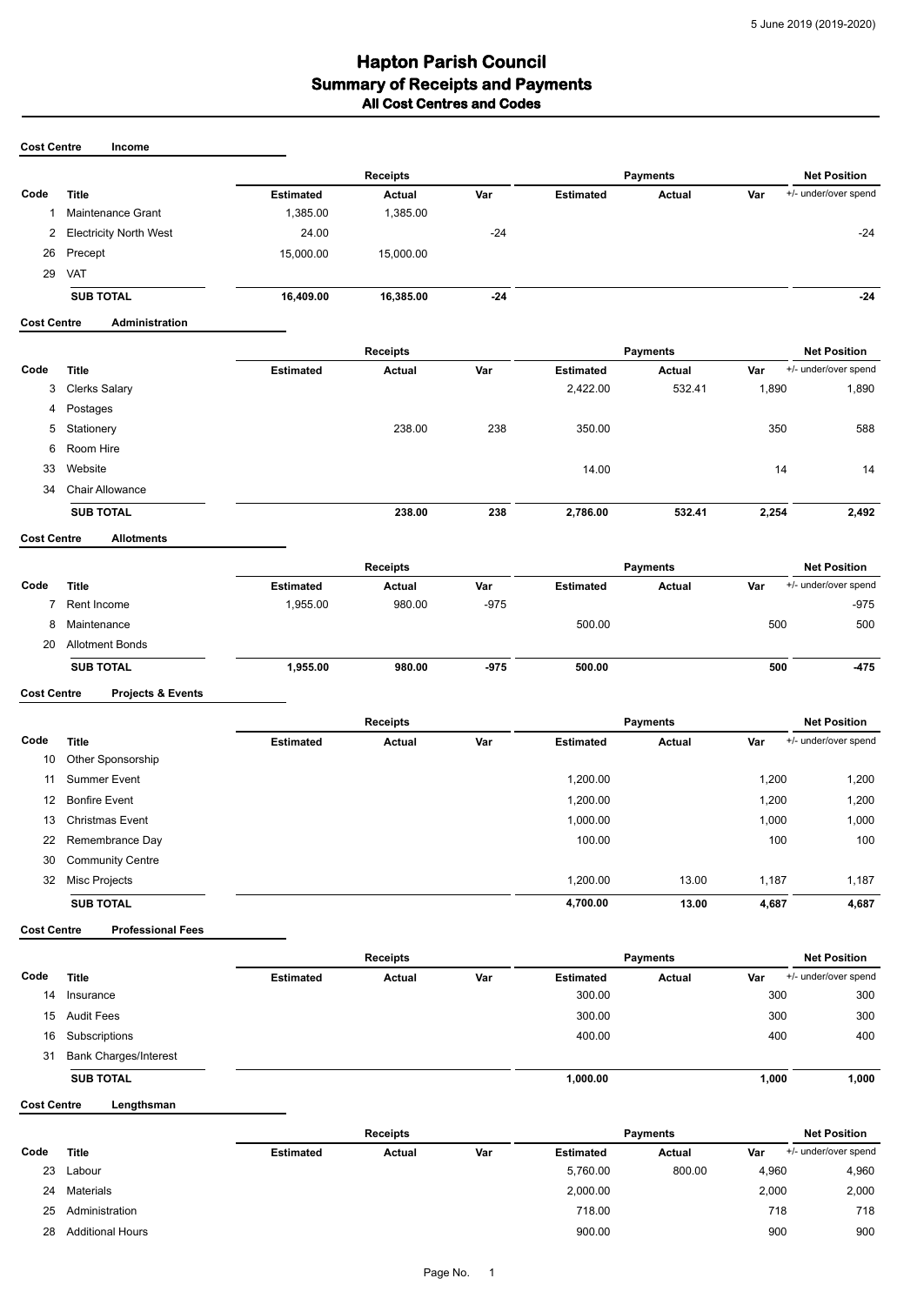## **Hapton Parish Council<br>Summary of Receipts and Payments All Cost Centres and Codes**

| <b>Cost Centre</b> | Income                        |                                    |                 |        |                     |                 |                     |                      |  |
|--------------------|-------------------------------|------------------------------------|-----------------|--------|---------------------|-----------------|---------------------|----------------------|--|
|                    |                               |                                    | <b>Receipts</b> |        | <b>Payments</b>     |                 | <b>Net Position</b> |                      |  |
| Code               | <b>Title</b>                  | <b>Estimated</b>                   | Actual          | Var    | <b>Estimated</b>    | Actual          | Var                 | +/- under/over spend |  |
| 1                  | Maintenance Grant             | 1,385.00                           | 1,385.00        |        |                     |                 |                     |                      |  |
| 2                  | <b>Electricity North West</b> | 24.00                              |                 | $-24$  |                     |                 |                     | $-24$                |  |
| 26                 | Precept                       | 15,000.00                          | 15,000.00       |        |                     |                 |                     |                      |  |
| 29                 | VAT                           |                                    |                 |        |                     |                 |                     |                      |  |
|                    | <b>SUB TOTAL</b>              | 16,409.00                          | 16,385.00       | $-24$  |                     |                 |                     | $-24$                |  |
| <b>Cost Centre</b> | Administration                |                                    |                 |        |                     |                 |                     |                      |  |
|                    |                               | <b>Receipts</b>                    |                 |        |                     | <b>Payments</b> | <b>Net Position</b> |                      |  |
| Code               | <b>Title</b>                  | <b>Estimated</b>                   | <b>Actual</b>   | Var    | <b>Estimated</b>    | Actual          | Var                 | +/- under/over spend |  |
| 3                  | <b>Clerks Salary</b>          |                                    |                 |        | 2,422.00            | 532.41          | 1,890               | 1,890                |  |
| 4                  | Postages                      |                                    |                 |        |                     |                 |                     |                      |  |
| 5                  | Stationery                    |                                    | 238.00          | 238    | 350.00              |                 | 350                 | 588                  |  |
| 6                  | Room Hire                     |                                    |                 |        |                     |                 |                     |                      |  |
| 33                 | Website                       |                                    |                 |        | 14.00               |                 | 14                  | 14                   |  |
| 34                 | <b>Chair Allowance</b>        |                                    |                 |        |                     |                 |                     |                      |  |
|                    | <b>SUB TOTAL</b>              |                                    | 238.00          | 238    | 2,786.00            | 532.41          | 2,254               | 2,492                |  |
| <b>Cost Centre</b> | <b>Allotments</b>             |                                    |                 |        |                     |                 |                     |                      |  |
|                    |                               | <b>Receipts</b><br><b>Payments</b> |                 |        | <b>Net Position</b> |                 |                     |                      |  |
| Code               | <b>Title</b>                  | <b>Estimated</b>                   | <b>Actual</b>   | Var    | <b>Estimated</b>    | Actual          | Var                 | +/- under/over spend |  |
| 7                  | Rent Income                   | 1,955.00                           | 980.00          | $-975$ |                     |                 |                     | $-975$               |  |
| 8                  | Maintenance                   |                                    |                 |        | 500.00              |                 | 500                 | 500                  |  |
| 20                 | <b>Allotment Bonds</b>        |                                    |                 |        |                     |                 |                     |                      |  |
|                    | <b>SUB TOTAL</b>              | 1,955.00                           | 980.00          | $-975$ | 500.00              |                 | 500                 | $-475$               |  |

**Cost Centre Projects & Events**

|                  | <b>Title</b>            | <b>Receipts</b>  |               |     | <b>Payments</b>  |        |       | <b>Net Position</b>  |  |
|------------------|-------------------------|------------------|---------------|-----|------------------|--------|-------|----------------------|--|
| Code             |                         | <b>Estimated</b> | <b>Actual</b> | Var | <b>Estimated</b> | Actual | Var   | +/- under/over spend |  |
| 10               | Other Sponsorship       |                  |               |     |                  |        |       |                      |  |
| 11               | <b>Summer Event</b>     |                  |               |     | 1,200.00         |        | 1,200 | 1,200                |  |
| 12 <sup>12</sup> | <b>Bonfire Event</b>    |                  |               |     | 1,200.00         |        | 1,200 | 1,200                |  |
| 13               | Christmas Event         |                  |               |     | 1,000.00         |        | 1,000 | 1,000                |  |
|                  | 22 Remembrance Day      |                  |               |     | 100.00           |        | 100   | 100                  |  |
| 30               | <b>Community Centre</b> |                  |               |     |                  |        |       |                      |  |
| 32               | Misc Projects           |                  |               |     | 1,200.00         | 13.00  | 1,187 | 1,187                |  |
|                  | <b>SUB TOTAL</b>        |                  |               |     | 4,700.00         | 13.00  | 4,687 | 4,687                |  |
|                  |                         |                  |               |     |                  |        |       |                      |  |

**Cost Centre Professional Fees**

|      |                              | <b>Receipts</b>  |        |     | <b>Payments</b>  |               |       | <b>Net Position</b>  |  |
|------|------------------------------|------------------|--------|-----|------------------|---------------|-------|----------------------|--|
| Code | <b>Title</b>                 | <b>Estimated</b> | Actual | Var | <b>Estimated</b> | <b>Actual</b> | Var   | +/- under/over spend |  |
| 14   | Insurance                    |                  |        |     | 300.00           |               | 300   | 300                  |  |
| 15   | Audit Fees                   |                  |        |     | 300.00           |               | 300   | 300                  |  |
| 16   | Subscriptions                |                  |        |     | 400.00           |               | 400   | 400                  |  |
| 31   | <b>Bank Charges/Interest</b> |                  |        |     |                  |               |       |                      |  |
|      | <b>SUB TOTAL</b>             |                  |        |     | 1,000.00         |               | 1,000 | 1,000                |  |

**Cost Centre Lengthsman**

|      |                         | <b>Receipts</b>  |        |     | <b>Pavments</b>  |        |       | <b>Net Position</b>  |
|------|-------------------------|------------------|--------|-----|------------------|--------|-------|----------------------|
| Code | <b>Title</b>            | <b>Estimated</b> | Actual | Var | <b>Estimated</b> | Actual | Var   | +/- under/over spend |
| 23   | Labour                  |                  |        |     | 5,760.00         | 800.00 | 4,960 | 4,960                |
| 24   | Materials               |                  |        |     | 2,000.00         |        | 2,000 | 2,000                |
| 25   | Administration          |                  |        |     | 718.00           |        | 718   | 718                  |
| 28   | <b>Additional Hours</b> |                  |        |     | 900.00           |        | 900   | 900                  |
|      |                         |                  |        |     |                  |        |       |                      |